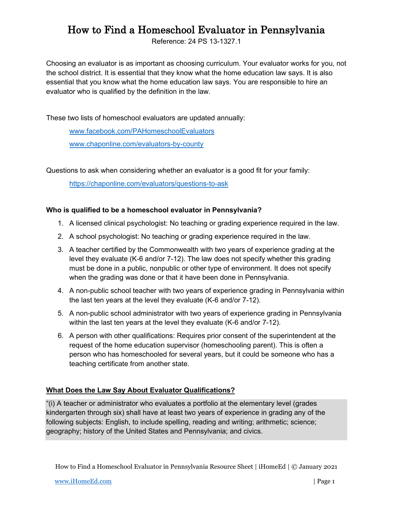## How to Find a Homeschool Evaluator in Pennsylvania

Reference: 24 PS 13-1327.1

Choosing an evaluator is as important as choosing curriculum. Your evaluator works for you, not the school district. It is essential that they know what the home education law says. It is also essential that you know what the home education law says. You are responsible to hire an evaluator who is qualified by the definition in the law.

These two lists of homeschool evaluators are updated annually:

[www.facebook.com/PAHomeschoolEvaluators](http://www.facebook.com/PAHomeschoolEvaluators) [www.chaponline.com/evaluators-by-county](http://www.chaponline.com/evaluators-by-county)

Questions to ask when considering whether an evaluator is a good fit for your family:

<https://chaponline.com/evaluators/questions-to-ask>

## **Who is qualified to be a homeschool evaluator in Pennsylvania?**

- 1. A licensed clinical psychologist: No teaching or grading experience required in the law.
- 2. A school psychologist: No teaching or grading experience required in the law.
- 3. A teacher certified by the Commonwealth with two years of experience grading at the level they evaluate (K-6 and/or 7-12). The law does not specify whether this grading must be done in a public, nonpublic or other type of environment. It does not specify when the grading was done or that it have been done in Pennsylvania.
- 4. A non-public school teacher with two years of experience grading in Pennsylvania within the last ten years at the level they evaluate (K-6 and/or 7-12).
- 5. A non-public school administrator with two years of experience grading in Pennsylvania within the last ten years at the level they evaluate (K-6 and/or 7-12).
- 6. A person with other qualifications: Requires prior consent of the superintendent at the request of the home education supervisor (homeschooling parent). This is often a person who has homeschooled for several years, but it could be someone who has a teaching certificate from another state.

## **What Does the Law Say About Evaluator Qualifications?**

"(i) A teacher or administrator who evaluates a portfolio at the elementary level (grades kindergarten through six) shall have at least two years of experience in grading any of the following subjects: English, to include spelling, reading and writing; arithmetic; science; geography; history of the United States and Pennsylvania; and civics.

How to Find a Homeschool Evaluator in Pennsylvania Resource Sheet | iHomeEd | © January 2021